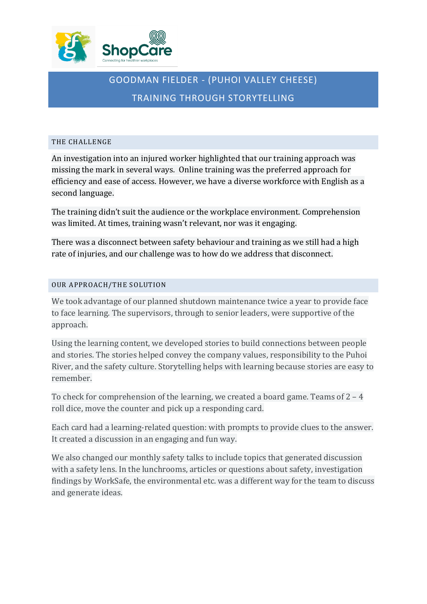

# GOODMAN FIELDER - (PUHOI VALLEY CHEESE) TRAINING THROUGH STORYTELLING

## THE CHALLENGE

An investigation into an injured worker highlighted that our training approach was missing the mark in several ways. Online training was the preferred approach for efficiency and ease of access. However, we have a diverse workforce with English as a second language.

The training didn't suit the audience or the workplace environment. Comprehension was limited. At times, training wasn't relevant, nor was it engaging.

There was a disconnect between safety behaviour and training as we still had a high rate of injuries, and our challenge was to how do we address that disconnect.

# OUR APPROACH/THE SOLUTION

We took advantage of our planned shutdown maintenance twice a year to provide face to face learning. The supervisors, through to senior leaders, were supportive of the approach.

Using the learning content, we developed stories to build connections between people and stories. The stories helped convey the company values, responsibility to the Puhoi River, and the safety culture. Storytelling helps with learning because stories are easy to remember.

To check for comprehension of the learning, we created a board game. Teams of  $2 - 4$ roll dice, move the counter and pick up a responding card.

Each card had a learning-related question: with prompts to provide clues to the answer. It created a discussion in an engaging and fun way.

We also changed our monthly safety talks to include topics that generated discussion with a safety lens. In the lunchrooms, articles or questions about safety, investigation findings by WorkSafe, the environmental etc. was a different way for the team to discuss and generate ideas.